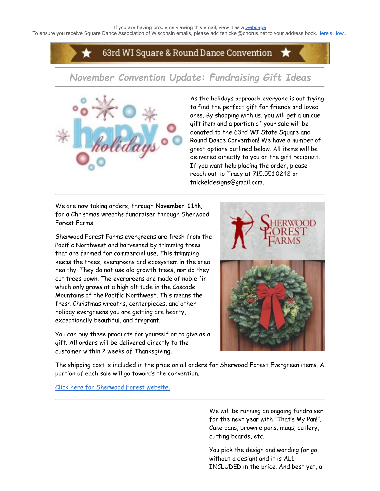To ensure you receive Square Dance Association of Wisconsin emails, please add tenickel@chorus.net to your address book.[Here's How...](https://www.radiantretailapps.com/CustomerConnect/Article.aspx/241/)

## 63rd WI Square & Round Dance Convention

# *November Convention Update: Fundraising Gift Ideas*



As the holidays approach everyone is out trying to find the perfect gift for friends and loved ones. By shopping with us, you will get a unique gift item and a portion of your sale will be donated to the 63rd WI State Square and Round Dance Convention! We have a number of great options outlined below. All items will be delivered directly to you or the gift recipient. If you want help placing the order, please reach out to Tracy at 715.551.0242 or tnickeldesigns@gmail.com.

We are now taking orders, through **November 11th**, for a Christmas wreaths fundraiser through Sherwood Forest Farms.

Sherwood Forest Farms evergreens are fresh from the Pacific Northwest and harvested by trimming trees that are farmed for commercial use. This trimming keeps the trees, evergreens and ecosystem in the area healthy. They do not use old growth trees, nor do they cut trees down. The evergreens are made of noble fir which only grows at a high altitude in the Cascade Mountains of the Pacific Northwest. This means the fresh Christmas wreaths, centerpieces, and other holiday evergreens you are getting are hearty, exceptionally beautiful, and fragrant.

You can buy these products for yourself or to give as a gift. All orders will be delivered directly to the customer within 2 weeks of Thanksgiving.



The shipping cost is included in the price on all orders for Sherwood Forest Evergreen items. A portion of each sale will go towards the convention.

[Click here for Sherwood Forest website.](https://sherwoodfundraiser.com/WISquareDanceConvention2022)

We will be running an ongoing fundraiser for the next year with "That's My Pan!". Cake pans, brownie pans, mugs, cutlery, cutting boards, etc.

You pick the design and wording (or go without a design) and it is ALL INCLUDED in the price. And best yet, a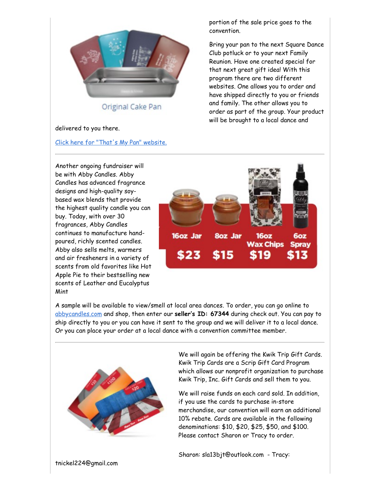

Original Cake Pan

#### delivered to you there.

[Click here for "That's My Pan" website.](https://www.thatsmypan.biz/FRWI69745)

portion of the sale price goes to the convention.

Bring your pan to the next Square Dance Club potluck or to your next Family Reunion. Have one created special for that next great gift idea! With this program there are two different websites. One allows you to order and have shipped directly to you or friends and family. The other allows you to order as part of the group. Your product will be brought to a local dance and





A sample will be available to view/smell at local area dances. To order, you can go online to [abbycandles.com](http://abbycandles.com/) and shop, then enter our **seller's ID: 67344** during check out. You can pay to ship directly to you or you can have it sent to the group and we will deliver it to a local dance. Or you can place your order at a local dance with a convention committee member.



We will again be offering the Kwik Trip Gift Cards. Kwik Trip Cards are a Scrip Gift Card Program which allows our nonprofit organization to purchase Kwik Trip, Inc. Gift Cards and sell them to you.

We will raise funds on each card sold. In addition, if you use the cards to purchase in-store merchandise, our convention will earn an additional 10% rebate. Cards are available in the following denominations: \$10, \$20, \$25, \$50, and \$100. Please contact Sharon or Tracy to order.

Sharon: sla13bjt@outlook.com - Tracy: